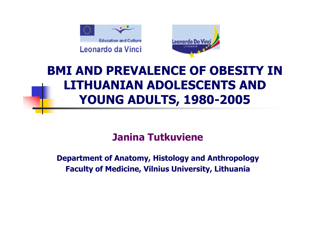



# **BMI AND PREVALENCE OF OBESITY IN LITHUANIAN ADOLESCENTS AND YOUNG ADULTS, 1980-2005**

## **Janina Tutkuviene**

**Department of Anatomy, Histology and Anthropology Faculty of Medicine, Vilnius University, Lithuania**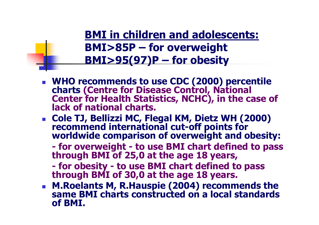**BMI in children and adolescents: BMI>85P – for overweight BMI>95(97)P – for obesity**

- **WHO recommends to use CDC (2000) percentile charts (Centre for Disease Control, National Center for Health Statistics, NCHC), in the case of lack of national charts.**
- **Cole TJ, Bellizzi MC, Flegal KM, Dietz WH (2000) recommend international cut-off points for worldwide comparison of overweight and obesity:**

**- for overweight - to use BMI chart defined to pass through BMI of 25,0 at the age 18 years,**

**- for obesity - to use BMI chart defined to pass through BMI of 30,0 at the age 18 years.**

 **M.Roelants M, R.Hauspie (2004) recommends the same BMI charts constructed on a local standards of BMI.**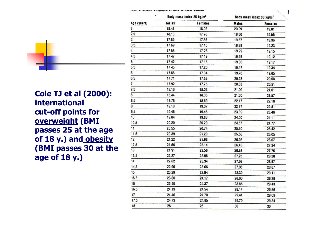**Cole TJ et al (2000): international cut-off points for overweight (BMI passes 25 at the age of 18 y.) and obesity (BMI passes 30 at the age of 18 y.)**

| Age (years) | ۰<br>Body mass index 25 kg/m <sup>2</sup> |         | Body mass index 30 kg/m <sup>2</sup> |                |
|-------------|-------------------------------------------|---------|--------------------------------------|----------------|
|             | Males                                     | Females | <b>Males</b>                         | <b>Females</b> |
| 2           | 18.41                                     | 18.02   | 20.09                                | 19.81          |
| 2.5         | 18,13                                     | 1776    | 19.80                                | 19.55          |
| 3           | 17.89                                     | 17.56   | 19.57                                | 19.36          |
| 35          | 1769                                      | 17.40   | 19.39                                | 19.23          |
| 4           | 17.55                                     | 17.28   | 19.29                                | 19.15          |
| 45          | 17.47                                     | 17 19   | 19.26                                | 19.12          |
| 5           | 1742                                      | 17 15   | 19.30                                | 19.17          |
| 55          | 17.45                                     | 17.20   | 19.47                                | 19.34          |
| 6           | 17.55                                     | 17.34   | 19.78                                | 19.65          |
| 65          | 1771                                      | 17.53   | 20.23                                | 20.08          |
| 7           | 17.92                                     | 17.75   | 20.63                                | 20.51          |
| 7.5         | 18.16                                     | 18.03   | 21.09                                | 21.01          |
| 8           | 18.44                                     | 18.35   | 21.60                                | 21.57          |
| 8.5         | 1876                                      | 18.69   | 22.17                                | 22.18          |
| 9           | 19.10                                     | 19.07   | 22.77                                | 22.81          |
| 95          | 1946                                      | 19.45   | 23.39                                | 23.46          |
| 10          | 19.84                                     | 19.86   | 24.00                                | 24 11          |
| 10.5        | 20.20                                     | 20.29   | 24.57                                | 24.77          |
| 11          | 20.55                                     | 20.74   | 25.10                                | 25.42          |
| 11.5        | 20.89                                     | 21.20   | 25.58                                | 26.05          |
| 12          | 21.22                                     | 21.68   | 26.02                                | 26.67          |
| 12.5        | 21.56                                     | 22.14   | 26.43                                | 27.24          |
| 13          | 21.91                                     | 22.58   | 26.84                                | 27.76          |
| 135         | 22.27                                     | 22.98   | 27.25                                | 28.20          |
| 14          | 22.62                                     | 23.34   | 27.63                                | 28.57          |
| 14.5        | 22.96                                     | 23.66   | 27.98                                | 28.87          |
| 15          | 23.29                                     | 23.94   | 28.30                                | 29.11          |
| 15.5        | 23.60                                     | 24.17   | 28.60                                | 29.29          |
| 16          | 23,90                                     | 24.37   | 28.88                                | 29.43          |
| 16.5        | 24.19                                     | 24.54   | 29.14                                | 29.56          |
| 17          | 24.46                                     | 24.70   | 29.41                                | 29.69          |
| 175         | 2473                                      | 24.85   | 29.70                                | 29.84          |
| 18          | 25                                        | 25      | 30                                   | 30             |

assumed and delivered when accuracy assume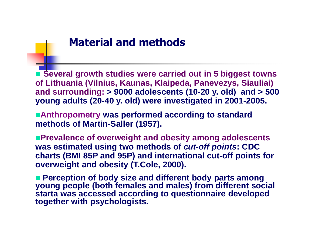## **Material and methods**

 **Several growth studies were carried out in 5 biggest towns of Lithuania (Vilnius, Kaunas, Klaipeda, Panevezys, Siauliai) and surrounding: > 9000 adolescents (10-20 y. old) and > 500 young adults (20-40 y. old) were investigated in 2001-2005.**

**Anthropometry was performed according to standard methods of Martin-Saller (1957).**

**Prevalence of overweight and obesity among adolescents was estimated using two methods of** *cut-off points***: CDC charts (BMI 85P and 95P) and international cut-off points for overweight and obesity (T.Cole, 2000).** 

 **Perception of body size and different body parts among young people (both females and males) from different social starta was accessed according to questionnaire developed together with psychologists.**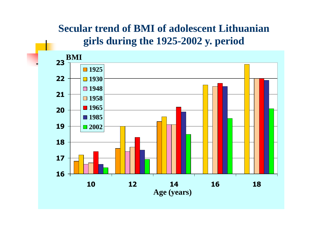## **Secular trend of BMI of adolescent Lithuanian girls during the 1925-2002 y. period**

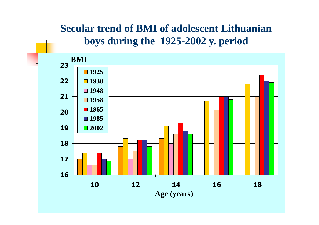## **Secular trend of BMI of adolescent Lithuanian boys during the 1925-2002 y. period**

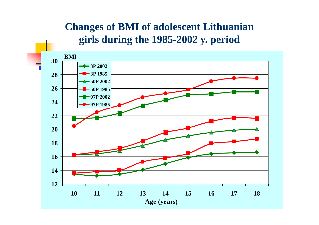## **Changes of BMI of adolescent Lithuanian girls during the 1985-2002 y. period**

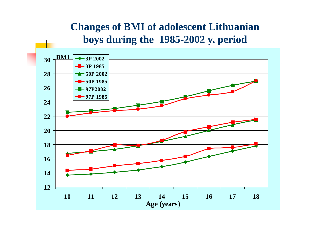## **Changes of BMI of adolescent Lithuanian boys during the 1985-2002 y. period**

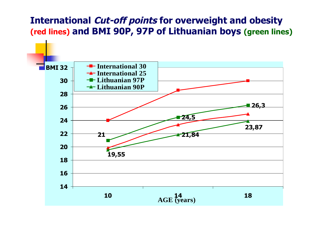#### **International Cut-off points for overweight and obesity (red lines) and BMI 90P, 97P of Lithuanian boys (green lines)**

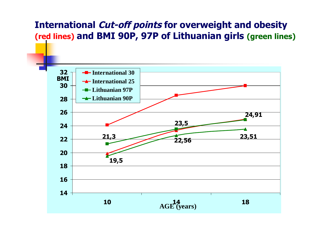#### **International Cut-off points for overweight and obesity (red lines) and BMI 90P, 97P of Lithuanian girls (green lines)**

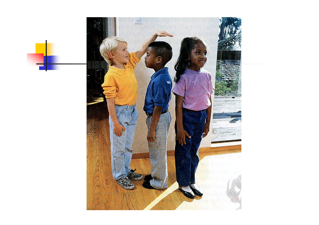

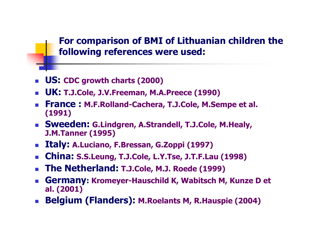## **For comparison of BMI of Lithuanian children the following references were used:**

- **US: CDC growth charts (2000)**
- **UK: T.J.Cole, J.V.Freeman, M.A.Preece (1990)**
- **France : M.F.Rolland-Cachera, T.J.Cole, M.Sempe et al. (1991)**
- **Sweeden: G.Lindgren, A.Strandell, T.J.Cole, M.Healy, J.M.Tanner (1995)**
- **Italy: A.Luciano, F.Bressan, G.Zoppi (1997)**
- **China: S.S.Leung, T.J.Cole, L.Y.Tse, J.T.F.Lau (1998)**
- **The Netherland: T.J.Cole, M.J. Roede (1999)**
- **Germany: Kromeyer-Hauschild K, Wabitsch M, Kunze D et al. (2001)**
- **Belgium (Flanders): M.Roelants M, R.Hauspie (2004)**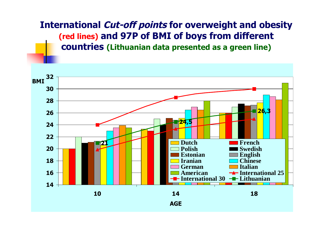#### **International Cut-off points for overweight and obesity (red lines) and 97P of BMI of boys from different countries (Lithuanian data presented as a green line)**

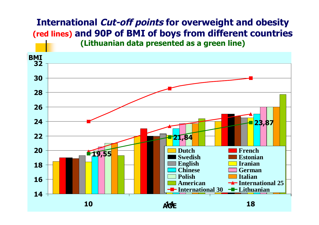#### **International Cut-off points for overweight and obesity (red lines) and 90P of BMI of boys from different countries (Lithuanian data presented as a green line)**

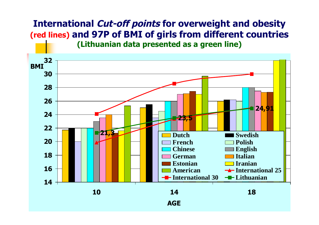## **International Cut-off points for overweight and obesity (red lines) and 97P of BMI of girls from different countries**



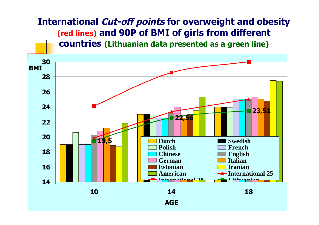# **International Cut-off points for overweight and obesity (red lines) and 90P of BMI of girls from different**

**countries (Lithuanian data presented as a green line)**

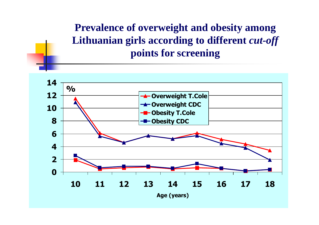## **Prevalence of overweight and obesity among Lithuanian girls according to different** *cut-off* **points for screening**

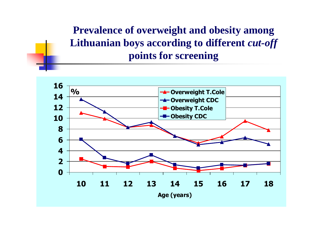**Prevalence of overweight and obesity among Lithuanian boys according to different** *cut-off* **points for screening**

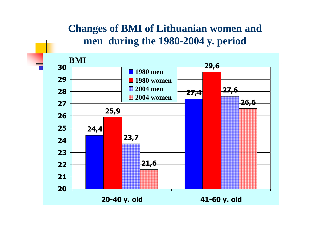## **Changes of BMI of Lithuanian women and men during the 1980-2004 y. period**

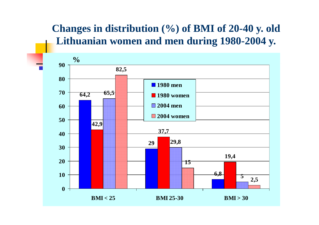## **Changes in distribution (%) of BMI of 20-40 y. old Lithuanian women and men during 1980-2004 y.**

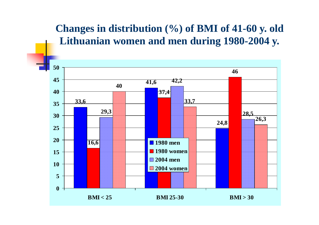## **Changes in distribution (%) of BMI of 41-60 y. old Lithuanian women and men during 1980-2004 y.**

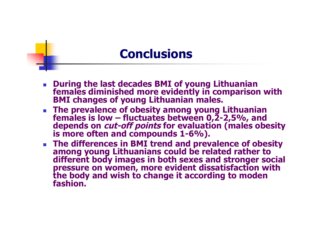# **Conclusions**

- **Example 13 During the last decades BMI of young Lithuanian females diminished more evidently in comparison with BMI changes of young Lithuanian males.**
- **The prevalence of obesity among young Lithuanian females is low – fluctuates between 0,2-2,5%, and depends on cut-off points for evaluation (males obesity is more often and compounds 1-6%).**
- **The differences in BMI trend and prevalence of obesity among young Lithuanians could be related rather to different body images in both sexes and stronger social pressure on women, more evident dissatisfaction with the body and wish to change it according to moden fashion.**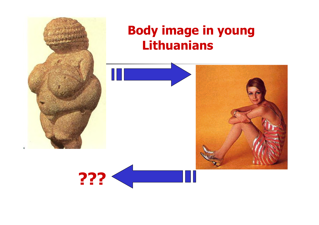

# **Body image in young Lithuanians**

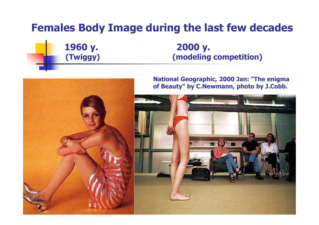## **Females Body Image during the last few decades**



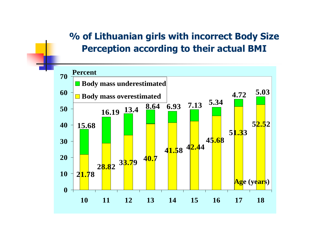## **% of Lithuanian girls with incorrect Body Size Perception according to their actual BMI**

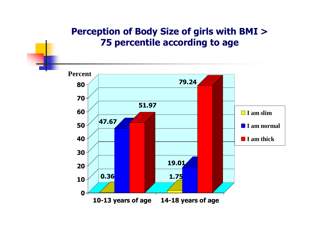### **Perception of Body Size of girls with BMI > 75 percentile according to age**

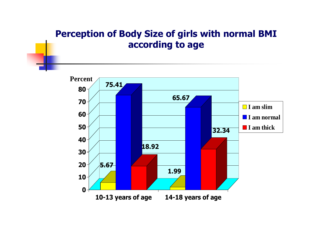## **Perception of Body Size of girls with normal BMI according to age**

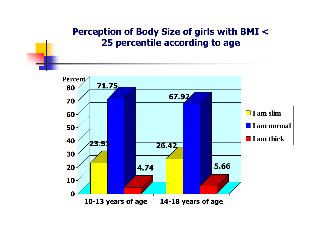### **Perception of Body Size of girls with BMI < 25 percentile according to age**

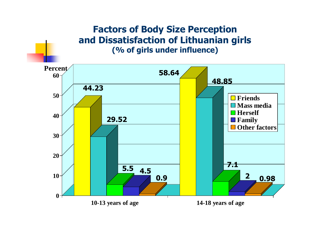#### **Factors of Body Size Perception and Dissatisfaction of Lithuanian girls (% of girls under influence)**

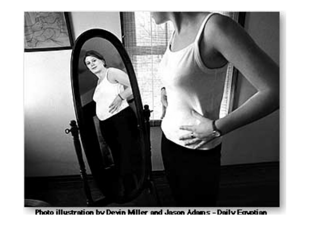

Photo illustration by Devin Miller and Jason Adams - Daily Frantian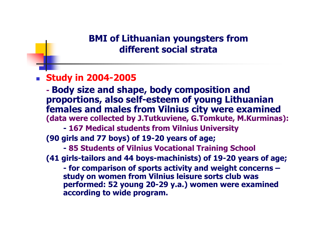#### **BMI of Lithuanian youngsters from different social strata**

### **Study in 2004-2005**

**- Body size and shape, body composition and proportions, also self-esteem of young Lithuanian females and males from Vilnius city were examined (data were collected by J.Tutkuviene, G.Tomkute, M.Kurminas):**

**- 167 Medical students from Vilnius University (90 girls and 77 boys) of 19-20 years of age;**

**- 85 Students of Vilnius Vocational Training School (41 girls-tailors and 44 boys-machinists) of 19-20 years of age;**

**- for comparison of sports activity and weight concerns – study on women from Vilnius leisure sorts club was performed: 52 young 20-29 y.a.) women were examined according to wide program.**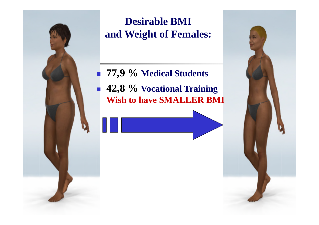

## **Desirable BMI and Weight of Females:**

- **77,9 % Medical Students**
- **42,8 % Vocational Training Wish to have SMALLER BMI**

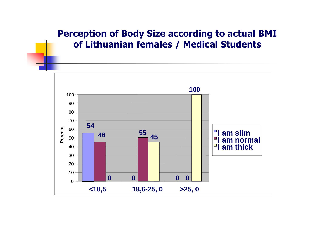#### **Perception of Body Size according to actual BMI of Lithuanian females / Medical Students**

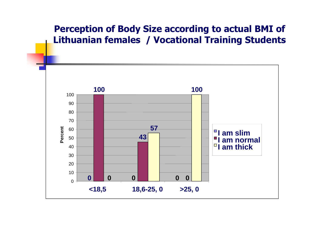#### **Perception of Body Size according to actual BMI of Lithuanian females / Vocational Training Students**

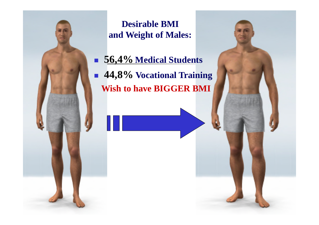

**Desirable BMI and Weight of Males:**

- **56,4% Medical Students 44,8% Vocational Training**
	- **Wish to have BIGGER BMI**

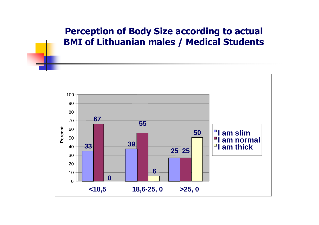#### **Perception of Body Size according to actual BMI of Lithuanian males / Medical Students**

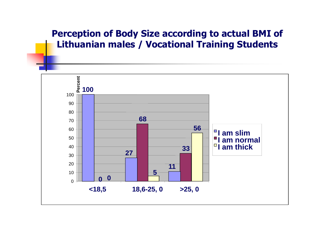#### **Perception of Body Size according to actual BMI of Lithuanian males / Vocational Training Students**

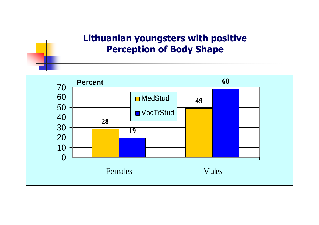### **Lithuanian youngsters with positive Perception of Body Shape**

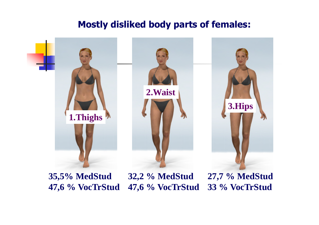#### **Mostly disliked body parts of females:**



**35,5% MedStud 47,6 % VocTrStud 32,2 % MedStud 47,6 % VocTrStud 33 % VocTrStud 27,7 % MedStud**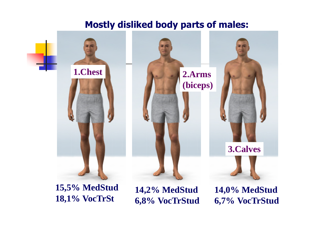#### **Mostly disliked body parts of males:**



**15,5% MedStud 18,1% VocTrSt**

**14,2% MedStud 6,8% VocTrStud**

**14,0% MedStud 6,7% VocTrStud**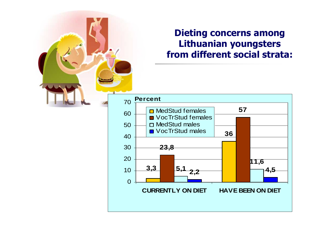## **Dieting concerns among Lithuanian youngsters from different social strata:**

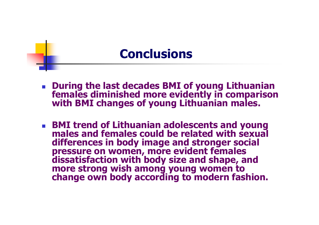# **Conclusions**

- **Example 12 During the last decades BMI of young Lithuanian females diminished more evidently in comparison with BMI changes of young Lithuanian males.**
- **BMI trend of Lithuanian adolescents and young males and females could be related with sexual differences in body image and stronger social pressure on women, more evident females dissatisfaction with body size and shape, and more strong wish among young women to change own body according to modern fashion.**